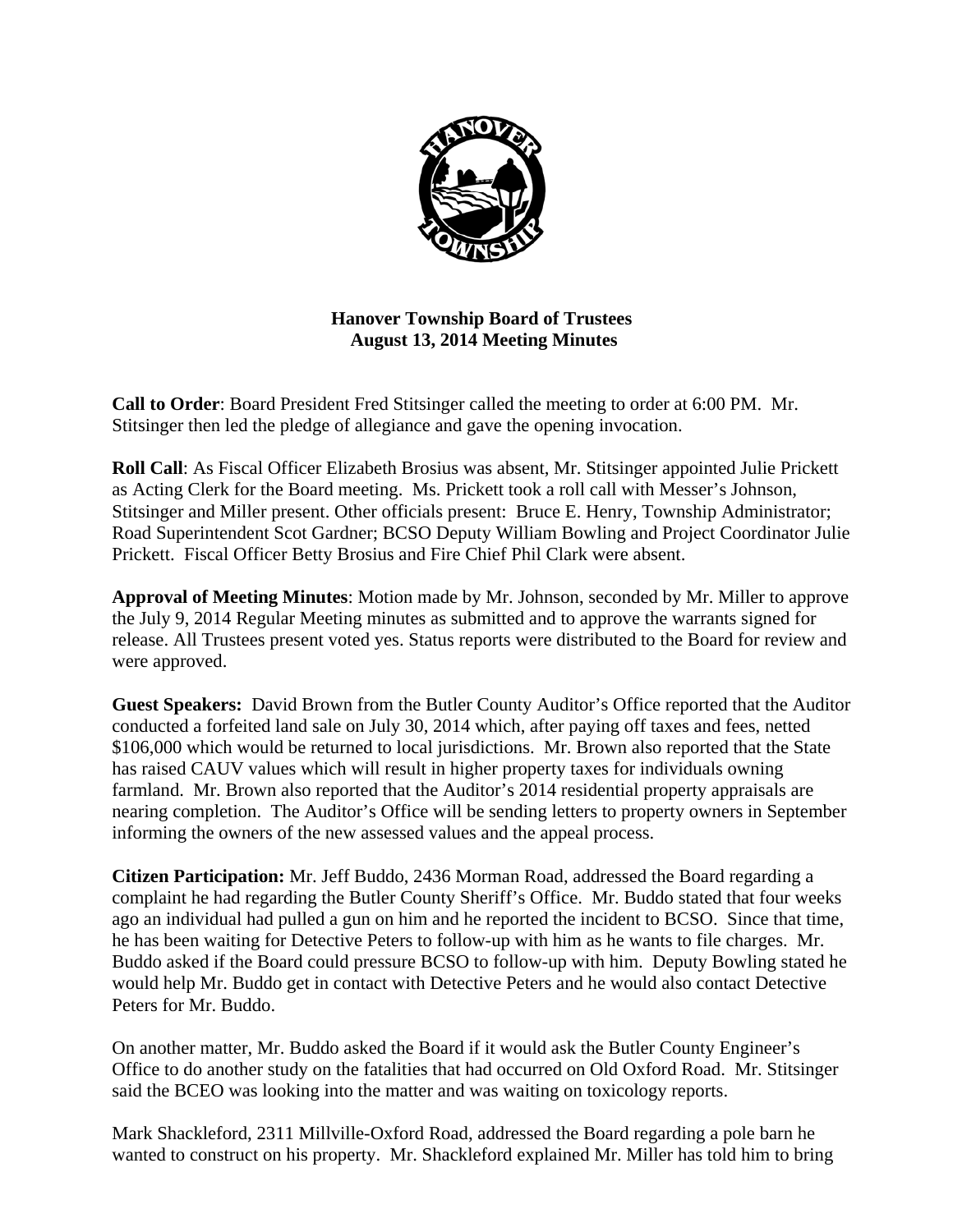

**Hanover Township Board of Trustees August 13, 2014 Meeting Minutes** 

**Call to Order**: Board President Fred Stitsinger called the meeting to order at 6:00 PM. Mr. Stitsinger then led the pledge of allegiance and gave the opening invocation.

**Roll Call**: As Fiscal Officer Elizabeth Brosius was absent, Mr. Stitsinger appointed Julie Prickett as Acting Clerk for the Board meeting. Ms. Prickett took a roll call with Messer's Johnson, Stitsinger and Miller present. Other officials present: Bruce E. Henry, Township Administrator; Road Superintendent Scot Gardner; BCSO Deputy William Bowling and Project Coordinator Julie Prickett. Fiscal Officer Betty Brosius and Fire Chief Phil Clark were absent.

**Approval of Meeting Minutes**: Motion made by Mr. Johnson, seconded by Mr. Miller to approve the July 9, 2014 Regular Meeting minutes as submitted and to approve the warrants signed for release. All Trustees present voted yes. Status reports were distributed to the Board for review and were approved.

**Guest Speakers:** David Brown from the Butler County Auditor's Office reported that the Auditor conducted a forfeited land sale on July 30, 2014 which, after paying off taxes and fees, netted \$106,000 which would be returned to local jurisdictions. Mr. Brown also reported that the State has raised CAUV values which will result in higher property taxes for individuals owning farmland. Mr. Brown also reported that the Auditor's 2014 residential property appraisals are nearing completion. The Auditor's Office will be sending letters to property owners in September informing the owners of the new assessed values and the appeal process.

**Citizen Participation:** Mr. Jeff Buddo, 2436 Morman Road, addressed the Board regarding a complaint he had regarding the Butler County Sheriff's Office. Mr. Buddo stated that four weeks ago an individual had pulled a gun on him and he reported the incident to BCSO. Since that time, he has been waiting for Detective Peters to follow-up with him as he wants to file charges. Mr. Buddo asked if the Board could pressure BCSO to follow-up with him. Deputy Bowling stated he would help Mr. Buddo get in contact with Detective Peters and he would also contact Detective Peters for Mr. Buddo.

On another matter, Mr. Buddo asked the Board if it would ask the Butler County Engineer's Office to do another study on the fatalities that had occurred on Old Oxford Road. Mr. Stitsinger said the BCEO was looking into the matter and was waiting on toxicology reports.

Mark Shackleford, 2311 Millville-Oxford Road, addressed the Board regarding a pole barn he wanted to construct on his property. Mr. Shackleford explained Mr. Miller has told him to bring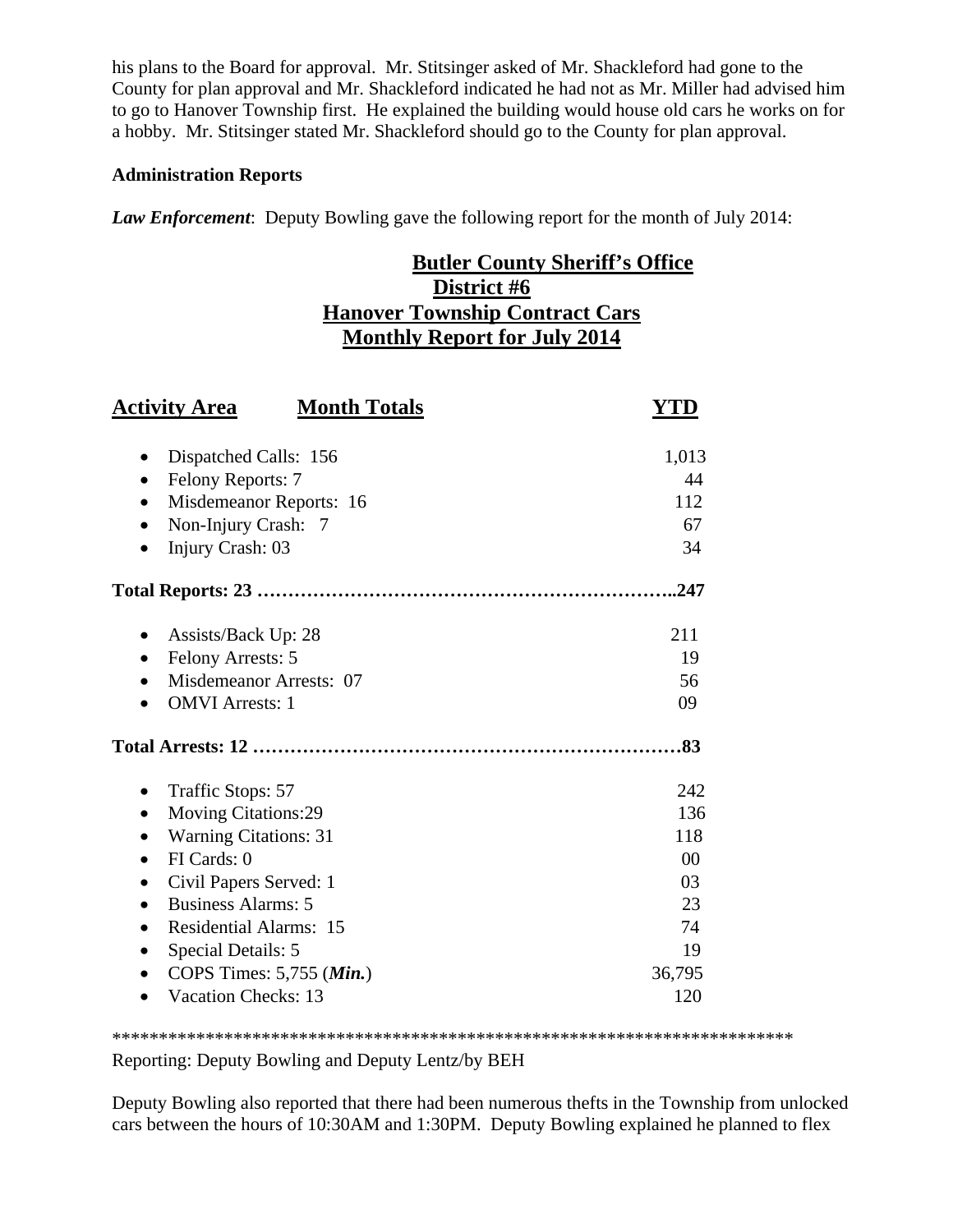his plans to the Board for approval. Mr. Stitsinger asked of Mr. Shackleford had gone to the County for plan approval and Mr. Shackleford indicated he had not as Mr. Miller had advised him to go to Hanover Township first. He explained the building would house old cars he works on for a hobby. Mr. Stitsinger stated Mr. Shackleford should go to the County for plan approval.

## **Administration Reports**

*Law Enforcement*: Deputy Bowling gave the following report for the month of July 2014:

# **Butler County Sheriff's Office District #6 Hanover Township Contract Cars Monthly Report for July 2014**

| <b>Month Totals</b><br><b>Activity Area</b>                                                                                                                                                                                                                                                           | YTD                                                              |
|-------------------------------------------------------------------------------------------------------------------------------------------------------------------------------------------------------------------------------------------------------------------------------------------------------|------------------------------------------------------------------|
| Dispatched Calls: 156<br>Felony Reports: 7<br>٠<br>Misdemeanor Reports: 16<br>Non-Injury Crash: 7<br>$\bullet$<br>Injury Crash: 03                                                                                                                                                                    | 1,013<br>44<br>112<br>67<br>34                                   |
|                                                                                                                                                                                                                                                                                                       | .247                                                             |
| Assists/Back Up: 28<br><b>Felony Arrests: 5</b><br>$\bullet$<br>Misdemeanor Arrests: 07<br><b>OMVI</b> Arrests: 1                                                                                                                                                                                     | 211<br>19<br>56<br>09<br>.83                                     |
| Traffic Stops: 57<br><b>Moving Citations:29</b><br>٠<br><b>Warning Citations: 31</b><br>FI Cards: 0<br>$\bullet$<br>Civil Papers Served: 1<br><b>Business Alarms: 5</b><br>$\bullet$<br><b>Residential Alarms: 15</b><br>Special Details: 5<br>COPS Times: 5,755 (Min.)<br><b>Vacation Checks: 13</b> | 242<br>136<br>118<br>00<br>03<br>23<br>74<br>19<br>36,795<br>120 |

\*\*\*\*\*\*\*\*\*\*\*\*\*\*\*\*\*\*\*\*\*\*\*\*\*\*\*\*\*\*\*\*\*\*\*\*\*\*\*\*\*\*\*\*\*\*\*\*\*\*\*\*\*\*\*\*\*\*\*\*\*\*\*\*\*\*\*\*\*\*\*\*\*

Reporting: Deputy Bowling and Deputy Lentz/by BEH

Deputy Bowling also reported that there had been numerous thefts in the Township from unlocked cars between the hours of 10:30AM and 1:30PM. Deputy Bowling explained he planned to flex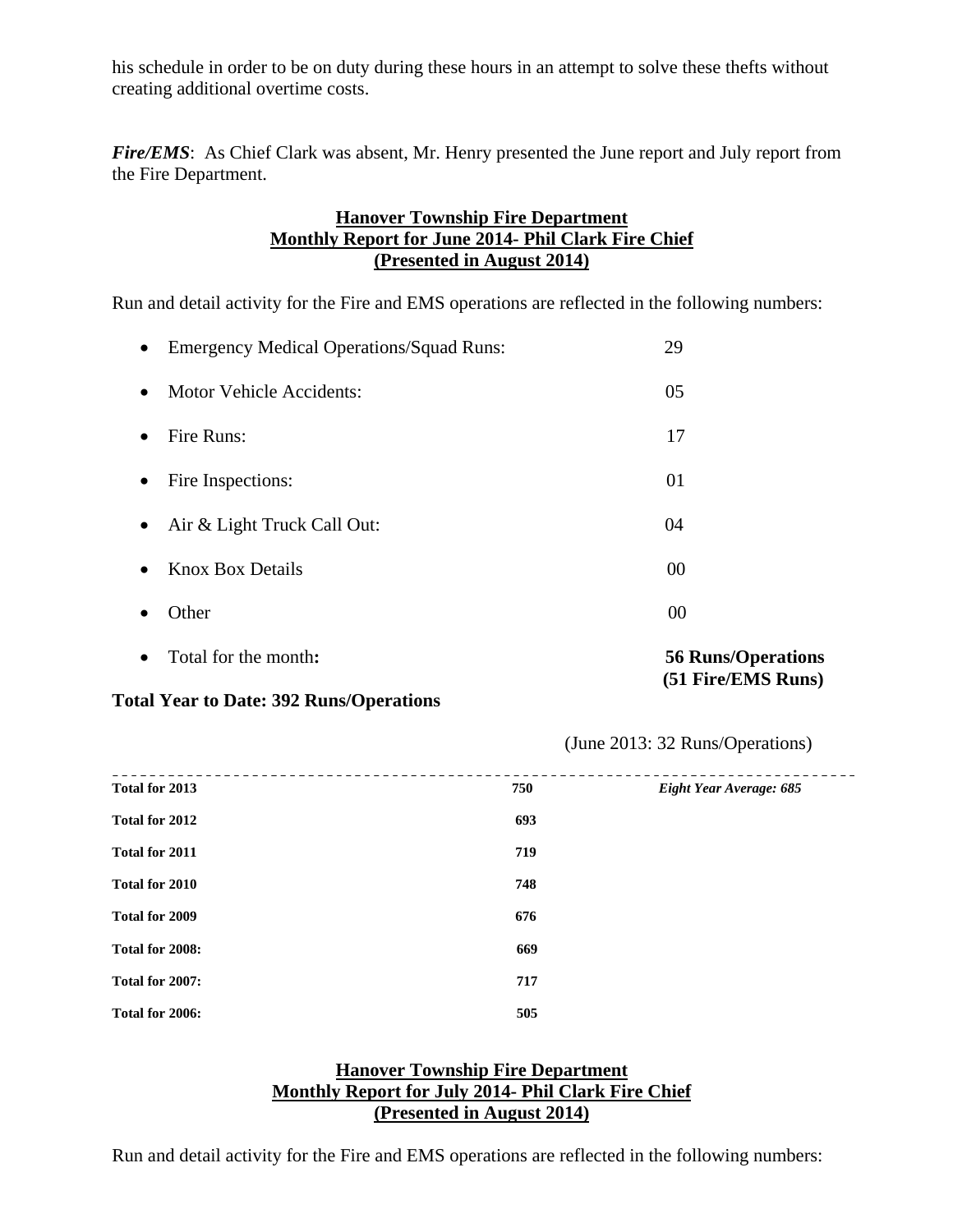his schedule in order to be on duty during these hours in an attempt to solve these thefts without creating additional overtime costs.

*Fire/EMS*: As Chief Clark was absent, Mr. Henry presented the June report and July report from the Fire Department.

# **Hanover Township Fire Department Monthly Report for June 2014- Phil Clark Fire Chief (Presented in August 2014)**

Run and detail activity for the Fire and EMS operations are reflected in the following numbers:

| $\bullet$ | Total for the month:                       | <b>56 Runs/Operations</b><br>(51 Fire/EMS Runs) |
|-----------|--------------------------------------------|-------------------------------------------------|
| $\bullet$ | Other                                      | 00                                              |
| $\bullet$ | <b>Knox Box Details</b>                    | 00                                              |
| $\bullet$ | Air & Light Truck Call Out:                | 04                                              |
| $\bullet$ | Fire Inspections:                          | 01                                              |
| $\bullet$ | Fire Runs:                                 | 17                                              |
| $\bullet$ | <b>Motor Vehicle Accidents:</b>            | 05                                              |
|           | • Emergency Medical Operations/Squad Runs: | 29                                              |

## **Total Year to Date: 392 Runs/Operations**

(June 2013: 32 Runs/Operations)

| Total for 2013  | 750 | Eight Year Average: 685 |
|-----------------|-----|-------------------------|
| Total for 2012  | 693 |                         |
| Total for 2011  | 719 |                         |
| Total for 2010  | 748 |                         |
| Total for 2009  | 676 |                         |
| Total for 2008: | 669 |                         |
| Total for 2007: | 717 |                         |
| Total for 2006: | 505 |                         |

# **Hanover Township Fire Department Monthly Report for July 2014- Phil Clark Fire Chief (Presented in August 2014)**

Run and detail activity for the Fire and EMS operations are reflected in the following numbers: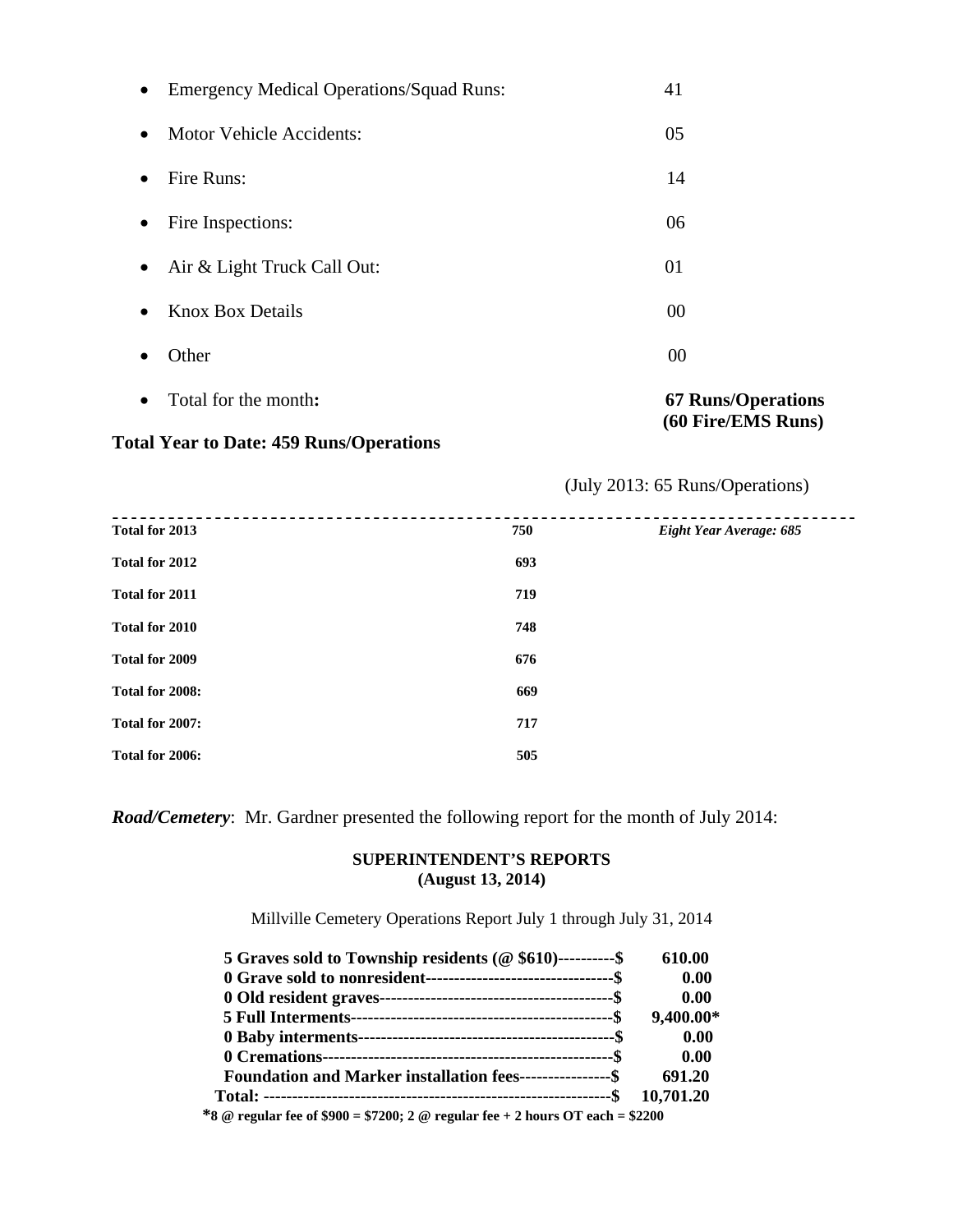| $\bullet$ | Total for the month:                            | <b>67 Runs/Operations</b><br>(60 Fire/EMS Runs) |
|-----------|-------------------------------------------------|-------------------------------------------------|
|           | Other                                           | 00                                              |
|           | <b>Knox Box Details</b>                         | 00                                              |
| $\bullet$ | Air & Light Truck Call Out:                     | 01                                              |
| $\bullet$ | Fire Inspections:                               | 06                                              |
|           | Fire Runs:                                      | 14                                              |
| $\bullet$ | <b>Motor Vehicle Accidents:</b>                 | 05                                              |
| $\bullet$ | <b>Emergency Medical Operations/Squad Runs:</b> | 41                                              |

# **Total Year to Date: 459 Runs/Operations**

# (July 2013: 65 Runs/Operations)

| Total for 2013<br>750        | Eight Year Average: 685 |
|------------------------------|-------------------------|
| Total for 2012<br>693        |                         |
| <b>Total for 2011</b><br>719 |                         |
| Total for 2010<br>748        |                         |
| Total for 2009<br>676        |                         |
| Total for 2008:<br>669       |                         |
| Total for 2007:<br>717       |                         |
| Total for 2006:<br>505       |                         |

*Road/Cemetery*: Mr. Gardner presented the following report for the month of July 2014:

#### **SUPERINTENDENT'S REPORTS (August 13, 2014)**

Millville Cemetery Operations Report July 1 through July 31, 2014

| 5 Graves sold to Township residents ( $@$ \$610)----------\$ | 610.00    |
|--------------------------------------------------------------|-----------|
|                                                              | 0.00      |
|                                                              | 0.00      |
|                                                              | 9,400.00* |
|                                                              | 0.00      |
|                                                              | 0.00      |
| Foundation and Marker installation fees-----------------\$   | 691.20    |
|                                                              |           |
| المتحط المسحر المحامر المتحدث ومتحط المحاملة المستحدثة       |           |

 **\*8 @ regular fee of \$900 = \$7200; 2 @ regular fee + 2 hours OT each = \$2200**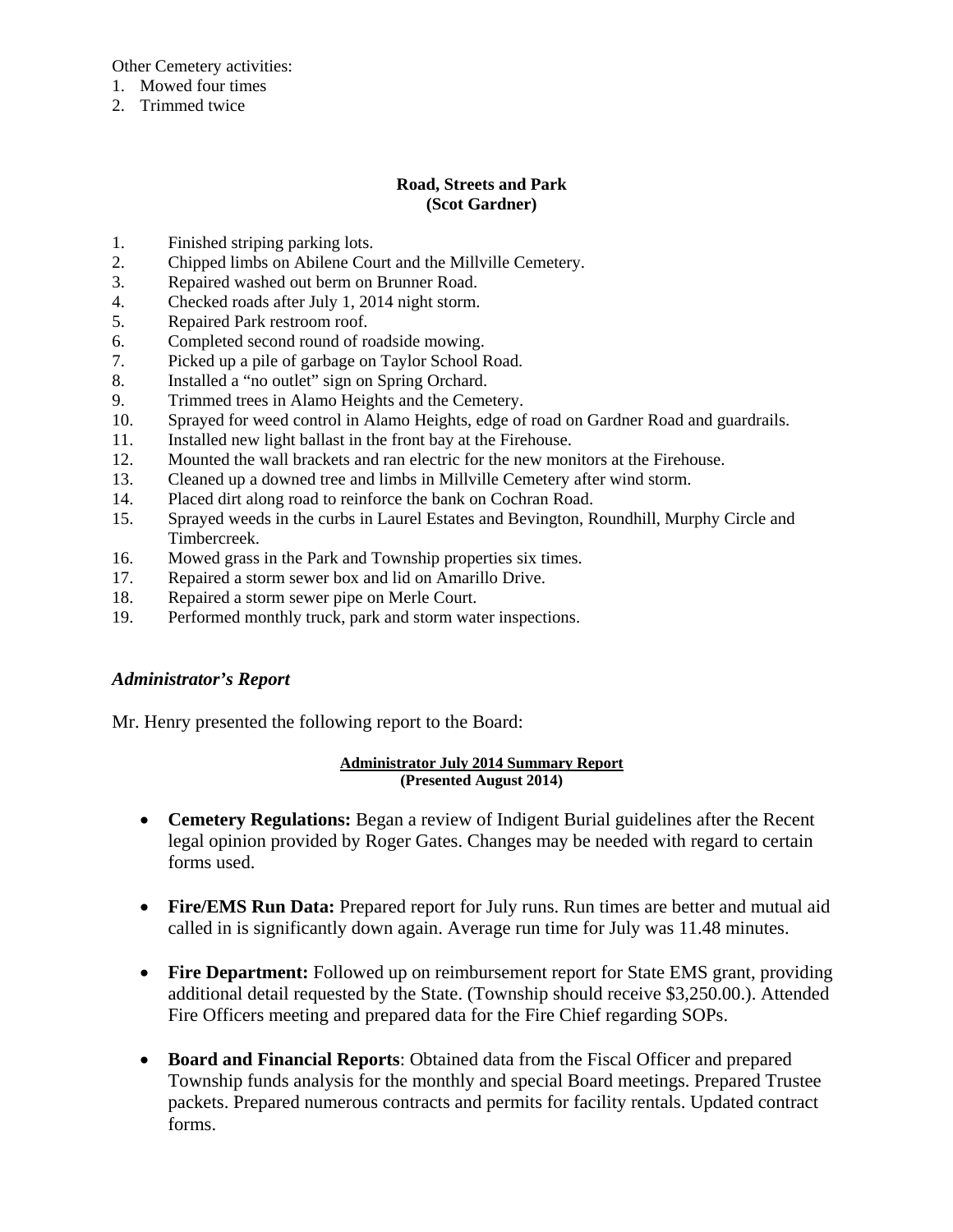Other Cemetery activities:

- 1. Mowed four times
- 2. Trimmed twice

## **Road, Streets and Park (Scot Gardner)**

- 1. Finished striping parking lots.
- 2. Chipped limbs on Abilene Court and the Millville Cemetery.
- 3. Repaired washed out berm on Brunner Road.
- 4. Checked roads after July 1, 2014 night storm.
- 5. Repaired Park restroom roof.
- 6. Completed second round of roadside mowing.
- 7. Picked up a pile of garbage on Taylor School Road.
- 8. Installed a "no outlet" sign on Spring Orchard.
- 9. Trimmed trees in Alamo Heights and the Cemetery.
- 10. Sprayed for weed control in Alamo Heights, edge of road on Gardner Road and guardrails.
- 11. Installed new light ballast in the front bay at the Firehouse.
- 12. Mounted the wall brackets and ran electric for the new monitors at the Firehouse.
- 13. Cleaned up a downed tree and limbs in Millville Cemetery after wind storm.
- 14. Placed dirt along road to reinforce the bank on Cochran Road.
- 15. Sprayed weeds in the curbs in Laurel Estates and Bevington, Roundhill, Murphy Circle and Timbercreek.
- 16. Mowed grass in the Park and Township properties six times.
- 17. Repaired a storm sewer box and lid on Amarillo Drive.
- 18. Repaired a storm sewer pipe on Merle Court.
- 19. Performed monthly truck, park and storm water inspections.

## *Administrator's Report*

Mr. Henry presented the following report to the Board:

#### **Administrator July 2014 Summary Report (Presented August 2014)**

- **Cemetery Regulations:** Began a review of Indigent Burial guidelines after the Recent legal opinion provided by Roger Gates. Changes may be needed with regard to certain forms used.
- Fire/EMS Run Data: Prepared report for July runs. Run times are better and mutual aid called in is significantly down again. Average run time for July was 11.48 minutes.
- **Fire Department:** Followed up on reimbursement report for State EMS grant, providing additional detail requested by the State. (Township should receive \$3,250.00.). Attended Fire Officers meeting and prepared data for the Fire Chief regarding SOPs.
- **Board and Financial Reports**: Obtained data from the Fiscal Officer and prepared Township funds analysis for the monthly and special Board meetings. Prepared Trustee packets. Prepared numerous contracts and permits for facility rentals. Updated contract forms.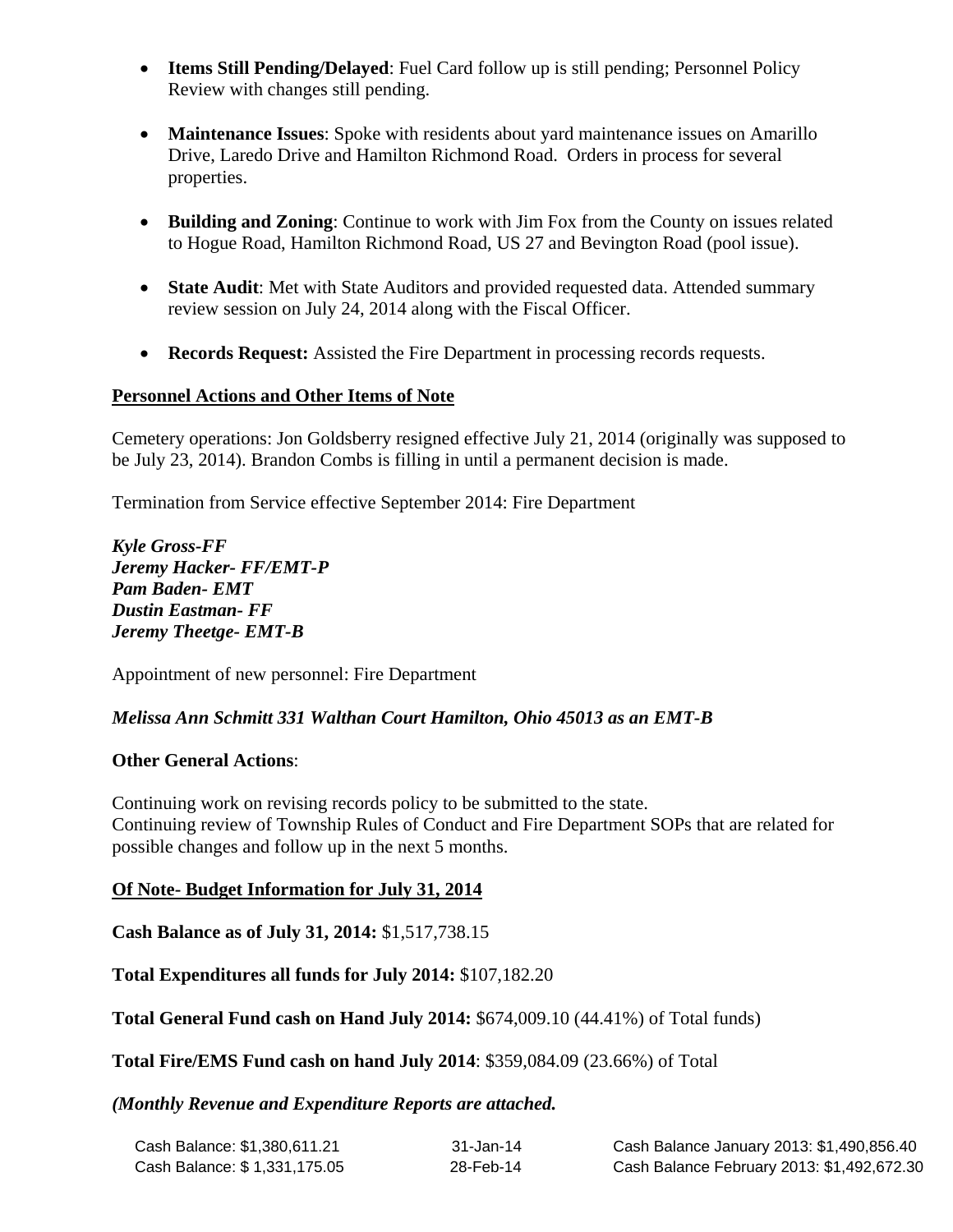- **Items Still Pending/Delayed**: Fuel Card follow up is still pending; Personnel Policy Review with changes still pending.
- **Maintenance Issues**: Spoke with residents about yard maintenance issues on Amarillo Drive, Laredo Drive and Hamilton Richmond Road. Orders in process for several properties.
- **Building and Zoning**: Continue to work with Jim Fox from the County on issues related to Hogue Road, Hamilton Richmond Road, US 27 and Bevington Road (pool issue).
- **State Audit**: Met with State Auditors and provided requested data. Attended summary review session on July 24, 2014 along with the Fiscal Officer.
- **Records Request:** Assisted the Fire Department in processing records requests.

# **Personnel Actions and Other Items of Note**

Cemetery operations: Jon Goldsberry resigned effective July 21, 2014 (originally was supposed to be July 23, 2014). Brandon Combs is filling in until a permanent decision is made.

Termination from Service effective September 2014: Fire Department

*Kyle Gross-FF Jeremy Hacker- FF/EMT-P Pam Baden- EMT Dustin Eastman- FF Jeremy Theetge- EMT-B* 

Appointment of new personnel: Fire Department

# *Melissa Ann Schmitt 331 Walthan Court Hamilton, Ohio 45013 as an EMT-B*

# **Other General Actions**:

Continuing work on revising records policy to be submitted to the state. Continuing review of Township Rules of Conduct and Fire Department SOPs that are related for possible changes and follow up in the next 5 months.

# **Of Note- Budget Information for July 31, 2014**

**Cash Balance as of July 31, 2014:** \$1,517,738.15

**Total Expenditures all funds for July 2014:** \$107,182.20

**Total General Fund cash on Hand July 2014:** \$674,009.10 (44.41%) of Total funds)

**Total Fire/EMS Fund cash on hand July 2014**: \$359,084.09 (23.66%) of Total

*(Monthly Revenue and Expenditure Reports are attached.*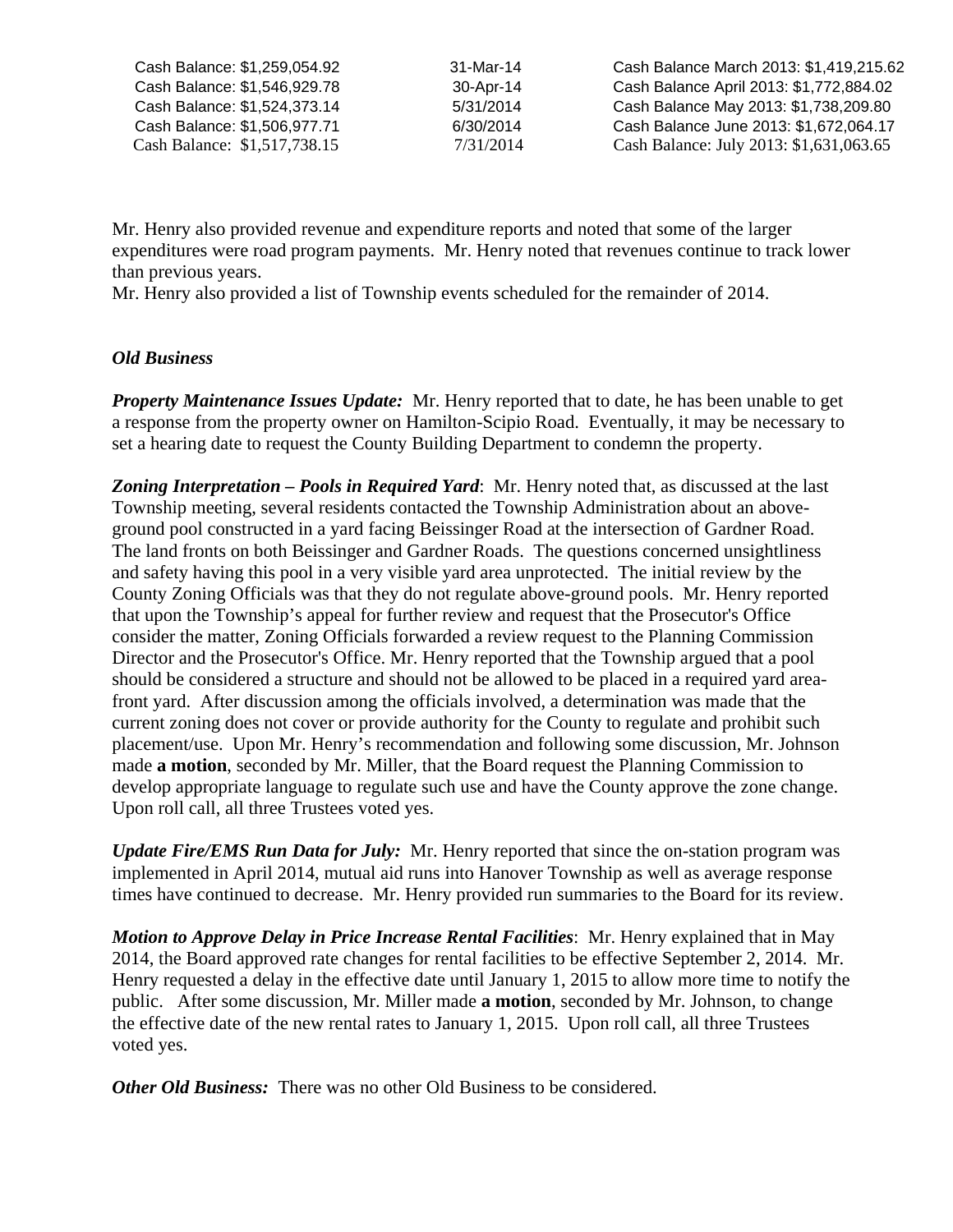| Cash Balance: \$1,259,054.92 | 31-Mar-14 | Cash Balance March 2013: \$1,419,215.62 |
|------------------------------|-----------|-----------------------------------------|
| Cash Balance: \$1,546,929.78 | 30-Apr-14 | Cash Balance April 2013: \$1,772,884.02 |
| Cash Balance: \$1,524,373.14 | 5/31/2014 | Cash Balance May 2013: \$1,738,209.80   |
| Cash Balance: \$1,506,977.71 | 6/30/2014 | Cash Balance June 2013: \$1,672,064.17  |
| Cash Balance: \$1,517,738.15 | 7/31/2014 | Cash Balance: July 2013: \$1,631,063.65 |

Mr. Henry also provided revenue and expenditure reports and noted that some of the larger expenditures were road program payments. Mr. Henry noted that revenues continue to track lower than previous years.

Mr. Henry also provided a list of Township events scheduled for the remainder of 2014.

# *Old Business*

*Property Maintenance Issues Update:* Mr. Henry reported that to date, he has been unable to get a response from the property owner on Hamilton-Scipio Road. Eventually, it may be necessary to set a hearing date to request the County Building Department to condemn the property.

*Zoning Interpretation – Pools in Required Yard*: Mr. Henry noted that, as discussed at the last Township meeting, several residents contacted the Township Administration about an aboveground pool constructed in a yard facing Beissinger Road at the intersection of Gardner Road. The land fronts on both Beissinger and Gardner Roads. The questions concerned unsightliness and safety having this pool in a very visible yard area unprotected. The initial review by the County Zoning Officials was that they do not regulate above-ground pools. Mr. Henry reported that upon the Township's appeal for further review and request that the Prosecutor's Office consider the matter, Zoning Officials forwarded a review request to the Planning Commission Director and the Prosecutor's Office. Mr. Henry reported that the Township argued that a pool should be considered a structure and should not be allowed to be placed in a required yard areafront yard. After discussion among the officials involved, a determination was made that the current zoning does not cover or provide authority for the County to regulate and prohibit such placement/use. Upon Mr. Henry's recommendation and following some discussion, Mr. Johnson made **a motion**, seconded by Mr. Miller, that the Board request the Planning Commission to develop appropriate language to regulate such use and have the County approve the zone change. Upon roll call, all three Trustees voted yes.

*Update Fire/EMS Run Data for July:* Mr. Henry reported that since the on-station program was implemented in April 2014, mutual aid runs into Hanover Township as well as average response times have continued to decrease. Mr. Henry provided run summaries to the Board for its review.

*Motion to Approve Delay in Price Increase Rental Facilities*: Mr. Henry explained that in May 2014, the Board approved rate changes for rental facilities to be effective September 2, 2014. Mr. Henry requested a delay in the effective date until January 1, 2015 to allow more time to notify the public. After some discussion, Mr. Miller made **a motion**, seconded by Mr. Johnson, to change the effective date of the new rental rates to January 1, 2015. Upon roll call, all three Trustees voted yes.

*Other Old Business:* There was no other Old Business to be considered.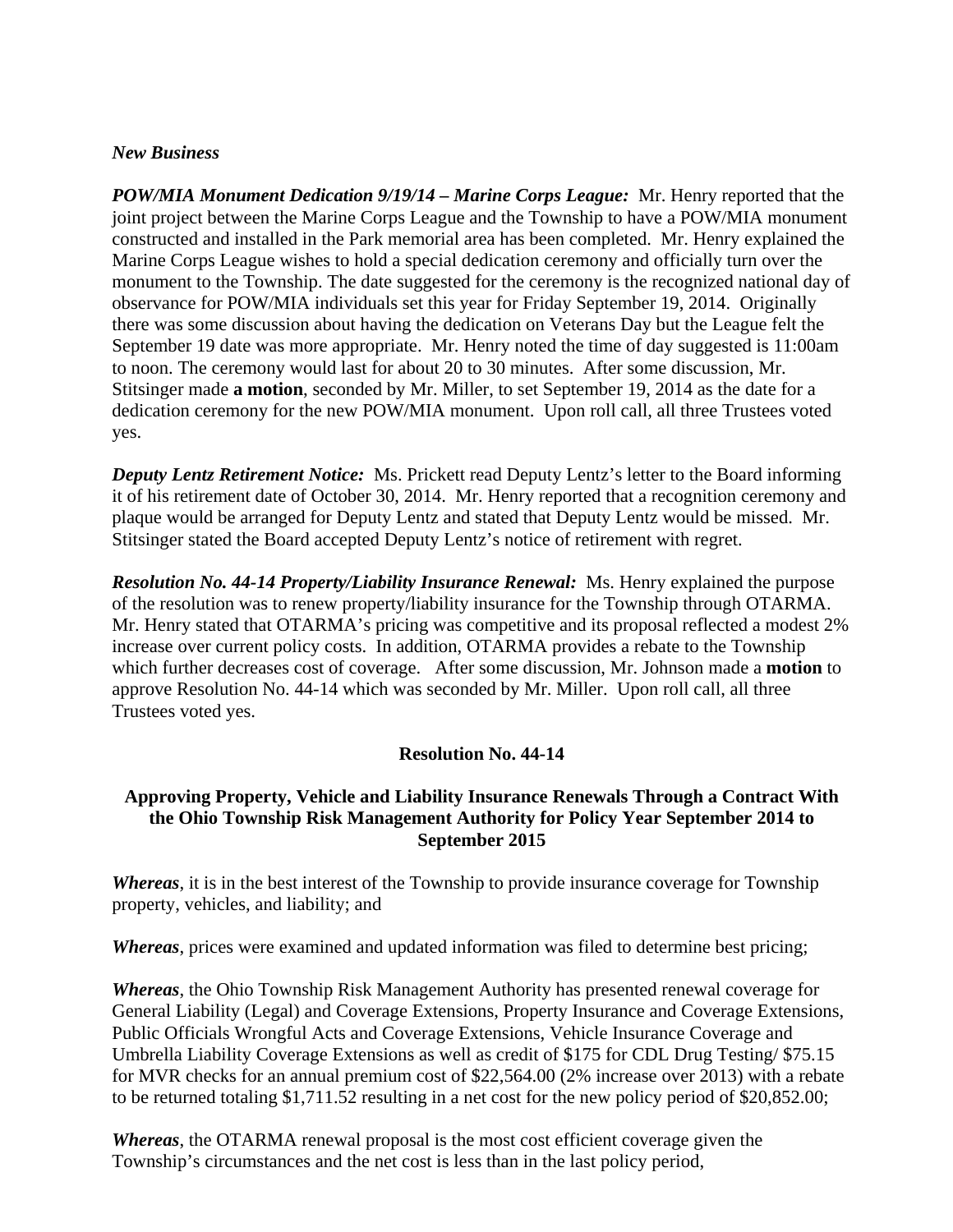#### *New Business*

*POW/MIA Monument Dedication 9/19/14 – Marine Corps League:* Mr. Henry reported that the joint project between the Marine Corps League and the Township to have a POW/MIA monument constructed and installed in the Park memorial area has been completed. Mr. Henry explained the Marine Corps League wishes to hold a special dedication ceremony and officially turn over the monument to the Township. The date suggested for the ceremony is the recognized national day of observance for POW/MIA individuals set this year for Friday September 19, 2014. Originally there was some discussion about having the dedication on Veterans Day but the League felt the September 19 date was more appropriate. Mr. Henry noted the time of day suggested is 11:00am to noon. The ceremony would last for about 20 to 30 minutes. After some discussion, Mr. Stitsinger made **a motion**, seconded by Mr. Miller, to set September 19, 2014 as the date for a dedication ceremony for the new POW/MIA monument. Upon roll call, all three Trustees voted yes.

*Deputy Lentz Retirement Notice:* Ms. Prickett read Deputy Lentz's letter to the Board informing it of his retirement date of October 30, 2014. Mr. Henry reported that a recognition ceremony and plaque would be arranged for Deputy Lentz and stated that Deputy Lentz would be missed. Mr. Stitsinger stated the Board accepted Deputy Lentz's notice of retirement with regret.

*Resolution No. 44-14 Property/Liability Insurance Renewal:* Ms. Henry explained the purpose of the resolution was to renew property/liability insurance for the Township through OTARMA. Mr. Henry stated that OTARMA's pricing was competitive and its proposal reflected a modest 2% increase over current policy costs. In addition, OTARMA provides a rebate to the Township which further decreases cost of coverage. After some discussion, Mr. Johnson made a **motion** to approve Resolution No. 44-14 which was seconded by Mr. Miller. Upon roll call, all three Trustees voted yes.

## **Resolution No. 44-14**

## **Approving Property, Vehicle and Liability Insurance Renewals Through a Contract With the Ohio Township Risk Management Authority for Policy Year September 2014 to September 2015**

*Whereas*, it is in the best interest of the Township to provide insurance coverage for Township property, vehicles, and liability; and

*Whereas*, prices were examined and updated information was filed to determine best pricing;

*Whereas*, the Ohio Township Risk Management Authority has presented renewal coverage for General Liability (Legal) and Coverage Extensions, Property Insurance and Coverage Extensions, Public Officials Wrongful Acts and Coverage Extensions, Vehicle Insurance Coverage and Umbrella Liability Coverage Extensions as well as credit of \$175 for CDL Drug Testing/ \$75.15 for MVR checks for an annual premium cost of \$22,564.00 (2% increase over 2013) with a rebate to be returned totaling \$1,711.52 resulting in a net cost for the new policy period of \$20,852.00;

*Whereas*, the OTARMA renewal proposal is the most cost efficient coverage given the Township's circumstances and the net cost is less than in the last policy period,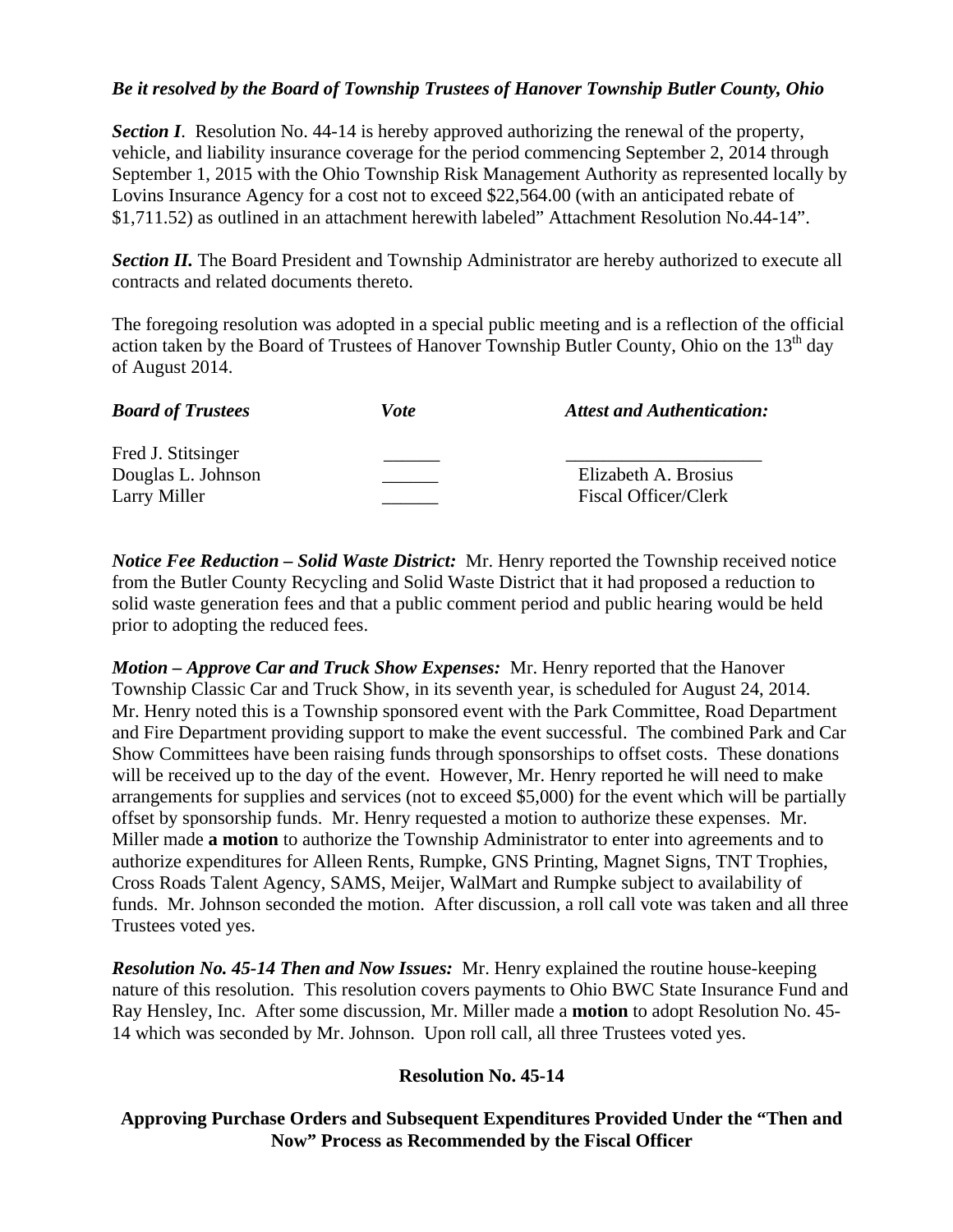## *Be it resolved by the Board of Township Trustees of Hanover Township Butler County, Ohio*

**Section I**. Resolution No. 44-14 is hereby approved authorizing the renewal of the property, vehicle, and liability insurance coverage for the period commencing September 2, 2014 through September 1, 2015 with the Ohio Township Risk Management Authority as represented locally by Lovins Insurance Agency for a cost not to exceed \$22,564.00 (with an anticipated rebate of \$1,711.52) as outlined in an attachment herewith labeled" Attachment Resolution No.44-14".

**Section II.** The Board President and Township Administrator are hereby authorized to execute all contracts and related documents thereto.

The foregoing resolution was adopted in a special public meeting and is a reflection of the official action taken by the Board of Trustees of Hanover Township Butler County, Ohio on the 13<sup>th</sup> day of August 2014.

| <b>Board of Trustees</b>                                 | Vote | <b>Attest and Authentication:</b>            |
|----------------------------------------------------------|------|----------------------------------------------|
| Fred J. Stitsinger<br>Douglas L. Johnson<br>Larry Miller |      | Elizabeth A. Brosius<br>Fiscal Officer/Clerk |

*Notice Fee Reduction – Solid Waste District:* Mr. Henry reported the Township received notice from the Butler County Recycling and Solid Waste District that it had proposed a reduction to solid waste generation fees and that a public comment period and public hearing would be held prior to adopting the reduced fees.

*Motion – Approve Car and Truck Show Expenses:* Mr. Henry reported that the Hanover Township Classic Car and Truck Show, in its seventh year, is scheduled for August 24, 2014. Mr. Henry noted this is a Township sponsored event with the Park Committee, Road Department and Fire Department providing support to make the event successful. The combined Park and Car Show Committees have been raising funds through sponsorships to offset costs. These donations will be received up to the day of the event. However, Mr. Henry reported he will need to make arrangements for supplies and services (not to exceed \$5,000) for the event which will be partially offset by sponsorship funds. Mr. Henry requested a motion to authorize these expenses. Mr. Miller made **a motion** to authorize the Township Administrator to enter into agreements and to authorize expenditures for Alleen Rents, Rumpke, GNS Printing, Magnet Signs, TNT Trophies, Cross Roads Talent Agency, SAMS, Meijer, WalMart and Rumpke subject to availability of funds. Mr. Johnson seconded the motion. After discussion, a roll call vote was taken and all three Trustees voted yes.

*Resolution No. 45-14 Then and Now Issues:* Mr. Henry explained the routine house-keeping nature of this resolution. This resolution covers payments to Ohio BWC State Insurance Fund and Ray Hensley, Inc. After some discussion, Mr. Miller made a **motion** to adopt Resolution No. 45- 14 which was seconded by Mr. Johnson. Upon roll call, all three Trustees voted yes.

## **Resolution No. 45-14**

# **Approving Purchase Orders and Subsequent Expenditures Provided Under the "Then and Now" Process as Recommended by the Fiscal Officer**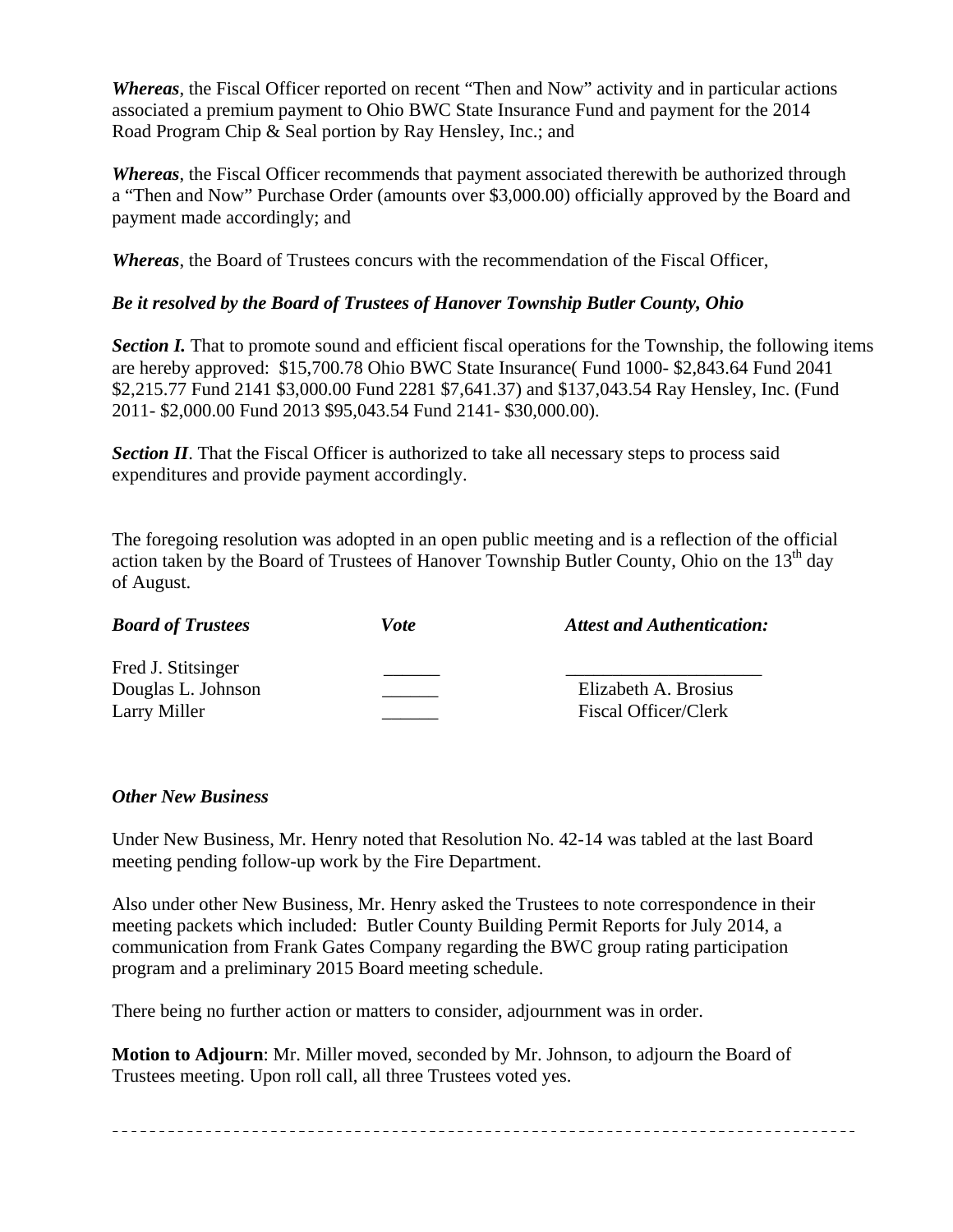*Whereas*, the Fiscal Officer reported on recent "Then and Now" activity and in particular actions associated a premium payment to Ohio BWC State Insurance Fund and payment for the 2014 Road Program Chip & Seal portion by Ray Hensley, Inc.; and

*Whereas*, the Fiscal Officer recommends that payment associated therewith be authorized through a "Then and Now" Purchase Order (amounts over \$3,000.00) officially approved by the Board and payment made accordingly; and

*Whereas*, the Board of Trustees concurs with the recommendation of the Fiscal Officer,

# *Be it resolved by the Board of Trustees of Hanover Township Butler County, Ohio*

*Section I.* That to promote sound and efficient fiscal operations for the Township, the following items are hereby approved: \$15,700.78 Ohio BWC State Insurance( Fund 1000- \$2,843.64 Fund 2041 \$2,215.77 Fund 2141 \$3,000.00 Fund 2281 \$7,641.37) and \$137,043.54 Ray Hensley, Inc. (Fund 2011- \$2,000.00 Fund 2013 \$95,043.54 Fund 2141- \$30,000.00).

**Section II**. That the Fiscal Officer is authorized to take all necessary steps to process said expenditures and provide payment accordingly.

The foregoing resolution was adopted in an open public meeting and is a reflection of the official action taken by the Board of Trustees of Hanover Township Butler County, Ohio on the  $13<sup>th</sup>$  day of August.

| <b>Board of Trustees</b>                 | Vote | <b>Attest and Authentication:</b> |
|------------------------------------------|------|-----------------------------------|
| Fred J. Stitsinger<br>Douglas L. Johnson |      | Elizabeth A. Brosius              |
| Larry Miller                             |      | Fiscal Officer/Clerk              |

# *Other New Business*

Under New Business, Mr. Henry noted that Resolution No. 42-14 was tabled at the last Board meeting pending follow-up work by the Fire Department.

Also under other New Business, Mr. Henry asked the Trustees to note correspondence in their meeting packets which included: Butler County Building Permit Reports for July 2014, a communication from Frank Gates Company regarding the BWC group rating participation program and a preliminary 2015 Board meeting schedule.

There being no further action or matters to consider, adjournment was in order.

**Motion to Adjourn**: Mr. Miller moved, seconded by Mr. Johnson, to adjourn the Board of Trustees meeting. Upon roll call, all three Trustees voted yes.